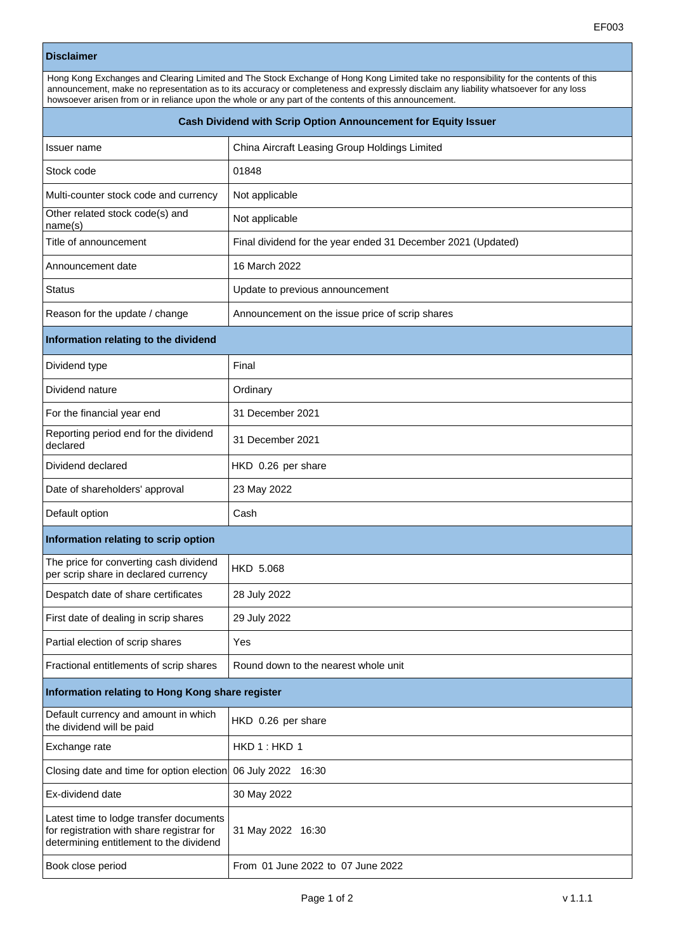## **Disclaimer**

| Hong Kong Exchanges and Clearing Limited and The Stock Exchange of Hong Kong Limited take no responsibility for the contents of this |  |  |
|--------------------------------------------------------------------------------------------------------------------------------------|--|--|
| announcement, make no representation as to its accuracy or completeness and expressly disclaim any liability whatsoever for any loss |  |  |
| howsoever arisen from or in reliance upon the whole or any part of the contents of this announcement.                                |  |  |
|                                                                                                                                      |  |  |

| Cash Dividend with Scrip Option Announcement for Equity Issuer                                                                  |                                                              |  |
|---------------------------------------------------------------------------------------------------------------------------------|--------------------------------------------------------------|--|
| Issuer name                                                                                                                     | China Aircraft Leasing Group Holdings Limited                |  |
| Stock code                                                                                                                      | 01848                                                        |  |
| Multi-counter stock code and currency                                                                                           | Not applicable                                               |  |
| Other related stock code(s) and<br>name(s)                                                                                      | Not applicable                                               |  |
| Title of announcement                                                                                                           | Final dividend for the year ended 31 December 2021 (Updated) |  |
| Announcement date                                                                                                               | 16 March 2022                                                |  |
| <b>Status</b>                                                                                                                   | Update to previous announcement                              |  |
| Reason for the update / change                                                                                                  | Announcement on the issue price of scrip shares              |  |
| Information relating to the dividend                                                                                            |                                                              |  |
| Dividend type                                                                                                                   | Final                                                        |  |
| Dividend nature                                                                                                                 | Ordinary                                                     |  |
| For the financial year end                                                                                                      | 31 December 2021                                             |  |
| Reporting period end for the dividend<br>declared                                                                               | 31 December 2021                                             |  |
| Dividend declared                                                                                                               | HKD 0.26 per share                                           |  |
| Date of shareholders' approval                                                                                                  | 23 May 2022                                                  |  |
| Default option                                                                                                                  | Cash                                                         |  |
| Information relating to scrip option                                                                                            |                                                              |  |
| The price for converting cash dividend<br>per scrip share in declared currency                                                  | <b>HKD 5.068</b>                                             |  |
| Despatch date of share certificates                                                                                             | 28 July 2022                                                 |  |
| First date of dealing in scrip shares                                                                                           | 29 July 2022                                                 |  |
| Partial election of scrip shares                                                                                                | Yes                                                          |  |
| Fractional entitlements of scrip shares                                                                                         | Round down to the nearest whole unit                         |  |
| Information relating to Hong Kong share register                                                                                |                                                              |  |
| Default currency and amount in which<br>the dividend will be paid                                                               | HKD 0.26 per share                                           |  |
| Exchange rate                                                                                                                   | HKD 1: HKD 1                                                 |  |
| Closing date and time for option election                                                                                       | 06 July 2022 16:30                                           |  |
| Ex-dividend date                                                                                                                | 30 May 2022                                                  |  |
| Latest time to lodge transfer documents<br>for registration with share registrar for<br>determining entitlement to the dividend | 31 May 2022 16:30                                            |  |
| Book close period                                                                                                               | From 01 June 2022 to 07 June 2022                            |  |